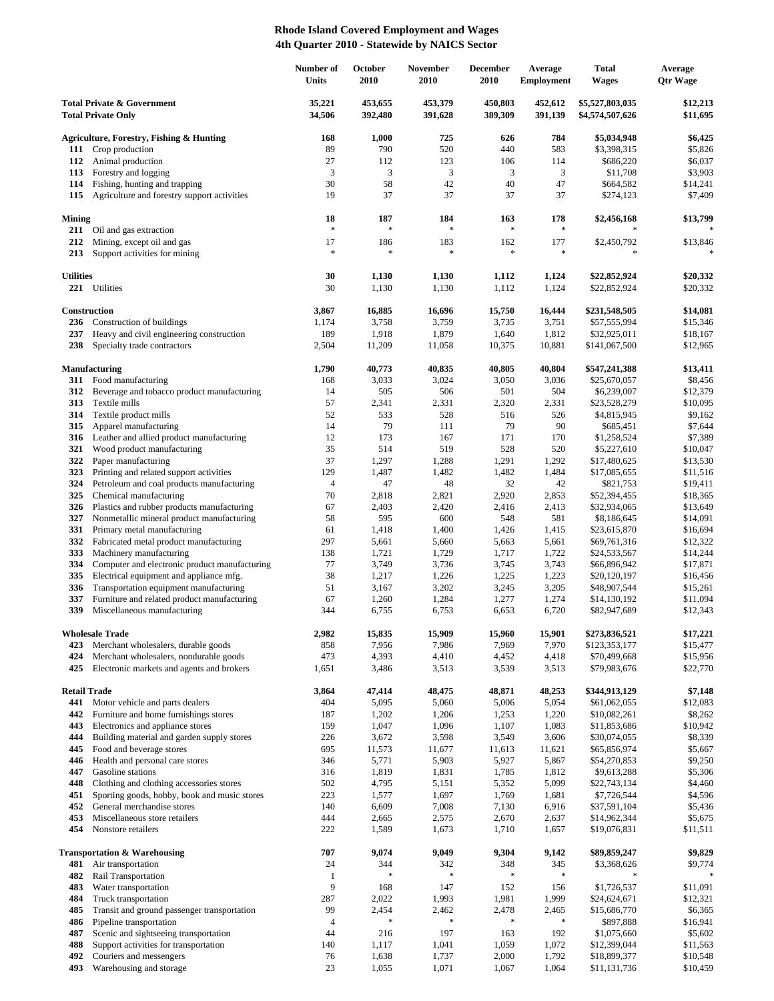## **Rhode Island Covered Employment and Wages 4th Quarter 2010 - Statewide by NAICS Sector**

|                                                                    |                                                                          | Number of<br>Units | October<br>2010    | November<br>2010   | <b>December</b><br>2010 | Average<br><b>Employment</b> | <b>Total</b><br><b>Wages</b>       | Average<br><b>Qtr Wage</b> |
|--------------------------------------------------------------------|--------------------------------------------------------------------------|--------------------|--------------------|--------------------|-------------------------|------------------------------|------------------------------------|----------------------------|
| <b>Total Private &amp; Government</b><br><b>Total Private Only</b> |                                                                          | 35,221<br>34,506   | 453,655<br>392,480 | 453,379<br>391,628 | 450,803<br>389,309      | 452,612<br>391,139           | \$5,527,803,035<br>\$4,574,507,626 | \$12,213<br>\$11,695       |
|                                                                    | Agriculture, Forestry, Fishing & Hunting                                 | 168                | 1,000              | 725                | 626                     | 784                          | \$5,034,948                        | \$6,425                    |
| 111                                                                | Crop production                                                          | 89                 | 790                | 520                | 440                     | 583                          | \$3,398,315                        | \$5,826                    |
| 112                                                                | Animal production                                                        | 27                 | 112                | 123                | 106                     | 114                          | \$686,220                          | \$6,037                    |
| 113                                                                | Forestry and logging                                                     | 3                  | 3                  | 3                  | 3                       | 3                            | \$11,708                           | \$3,903                    |
| 114                                                                | Fishing, hunting and trapping                                            | 30                 | 58                 | 42                 | 40                      | 47                           | \$664,582                          | \$14,241                   |
| 115                                                                | Agriculture and forestry support activities                              | 19                 | 37                 | 37                 | 37                      | 37                           | \$274,123                          | \$7,409                    |
| Mining<br>211                                                      | Oil and gas extraction                                                   | 18<br>$\ast$       | 187<br>$\ast$      | 184<br>$\ast$      | 163<br>$\ast$           | 178<br>$\ast$                | \$2,456,168                        | \$13,799                   |
| 212                                                                | Mining, except oil and gas                                               | 17                 | 186                | 183                | 162                     | 177                          | \$2,450,792                        | \$13,846                   |
| 213                                                                | Support activities for mining                                            | $\ast$             | $\ast$             | $\ast$             | $\ast$                  | $\ast$                       | $\ast$                             |                            |
| <b>Utilities</b>                                                   |                                                                          | 30                 | 1,130              | 1,130              | 1,112                   | 1,124                        | \$22,852,924                       | \$20,332                   |
|                                                                    | 221 Utilities                                                            | 30                 | 1,130              | 1,130              | 1,112                   | 1,124                        | \$22,852,924                       | \$20,332                   |
| 236                                                                | Construction<br>Construction of buildings                                | 3,867<br>1,174     | 16,885<br>3,758    | 16,696<br>3,759    | 15,750<br>3,735         | 16,444<br>3,751              | \$231,548,505<br>\$57,555,994      | \$14,081<br>\$15,346       |
| 237                                                                | Heavy and civil engineering construction                                 | 189                | 1,918              | 1,879              | 1,640                   | 1,812                        | \$32,925,011                       | \$18,167                   |
| 238                                                                | Specialty trade contractors                                              | 2,504              | 11,209             | 11,058             | 10,375                  | 10,881                       | \$141,067,500                      | \$12,965                   |
|                                                                    | Manufacturing                                                            | 1,790              | 40,773             | 40,835             | 40,805                  | 40,804                       | \$547,241,388                      | \$13,411                   |
| 311                                                                | Food manufacturing                                                       | 168                | 3,033              | 3,024              | 3,050                   | 3,036                        | \$25,670,057                       | \$8,456                    |
| 312                                                                | Beverage and tobacco product manufacturing                               | 14                 | 505                | 506                | 501                     | 504                          | \$6,239,007                        | \$12,379                   |
| 313                                                                | Textile mills                                                            | 57                 | 2,341              | 2,331              | 2,320                   | 2,331                        | \$23,528,279                       | \$10,095                   |
| 314<br>315                                                         | Textile product mills<br>Apparel manufacturing                           | 52<br>14           | 533<br>79          | 528<br>111         | 516<br>79               | 526<br>90                    | \$4,815,945<br>\$685,451           | \$9,162<br>\$7,644         |
| 316                                                                | Leather and allied product manufacturing                                 | 12                 | 173                | 167                | 171                     | 170                          | \$1,258,524                        | \$7,389                    |
| 321                                                                | Wood product manufacturing                                               | 35                 | 514                | 519                | 528                     | 520                          | \$5,227,610                        | \$10,047                   |
| 322                                                                | Paper manufacturing                                                      | 37                 | 1,297              | 1,288              | 1,291                   | 1,292                        | \$17,480,625                       | \$13,530                   |
| 323                                                                | Printing and related support activities                                  | 129                | 1,487              | 1,482              | 1,482                   | 1,484                        | \$17,085,655                       | \$11,516                   |
| 324                                                                | Petroleum and coal products manufacturing                                | $\overline{4}$     | 47                 | 48                 | 32                      | 42                           | \$821,753                          | \$19,411                   |
| 325                                                                | Chemical manufacturing                                                   | 70                 | 2,818              | 2,821              | 2,920                   | 2,853                        | \$52,394,455                       | \$18,365                   |
| 326                                                                | Plastics and rubber products manufacturing                               | 67                 | 2,403              | 2,420              | 2,416                   | 2,413                        | \$32,934,065                       | \$13,649                   |
| 327                                                                | Nonmetallic mineral product manufacturing                                | 58                 | 595                | 600                | 548                     | 581                          | \$8,186,645                        | \$14,091                   |
| 331                                                                | Primary metal manufacturing                                              | 61                 | 1,418              | 1,400              | 1,426                   | 1,415                        | \$23,615,870                       | \$16,694                   |
| 332                                                                | Fabricated metal product manufacturing                                   | 297                | 5,661              | 5,660              | 5,663                   | 5,661                        | \$69,761,316                       | \$12,322                   |
| 333<br>334                                                         | Machinery manufacturing<br>Computer and electronic product manufacturing | 138                | 1,721              | 1,729              | 1,717                   | 1,722                        | \$24,533,567                       | \$14,244                   |
| 335                                                                | Electrical equipment and appliance mfg.                                  | 77<br>38           | 3,749<br>1,217     | 3,736<br>1,226     | 3,745<br>1,225          | 3,743<br>1,223               | \$66,896,942<br>\$20,120,197       | \$17,871<br>\$16,456       |
| 336                                                                | Transportation equipment manufacturing                                   | 51                 | 3,167              | 3,202              | 3,245                   | 3,205                        | \$48,907,544                       | \$15,261                   |
| 337                                                                | Furniture and related product manufacturing                              | 67                 | 1,260              | 1,284              | 1,277                   | 1,274                        | \$14,130,192                       | \$11,094                   |
| 339                                                                | Miscellaneous manufacturing                                              | 344                | 6,755              | 6,753              | 6,653                   | 6,720                        | \$82,947,689                       | \$12,343                   |
|                                                                    | <b>Wholesale Trade</b>                                                   | 2,982              | 15,835             | 15,909             | 15,960                  | 15,901                       | \$273,836,521                      | \$17,221                   |
| 423                                                                | Merchant wholesalers, durable goods                                      | 858                | 7,956              | 7,986              | 7,969                   | 7,970                        | \$123,353,177                      | \$15,477                   |
| 424                                                                | Merchant wholesalers, nondurable goods                                   | 473                | 4,393              | 4,410              | 4,452                   | 4,418                        | \$70,499,668                       | \$15,956                   |
| 425                                                                | Electronic markets and agents and brokers                                | 1,651              | 3,486              | 3,513              | 3,539                   | 3,513                        | \$79,983,676                       | \$22,770                   |
| <b>Retail Trade</b><br>441                                         | Motor vehicle and parts dealers                                          | 3,864<br>404       | 47,414<br>5,095    | 48,475<br>5,060    | 48,871<br>5,006         | 48,253<br>5,054              | \$344,913,129<br>\$61,062,055      | \$7,148<br>\$12,083        |
| 442                                                                | Furniture and home furnishings stores                                    | 187                | 1,202              | 1,206              | 1,253                   | 1,220                        | \$10,082,261                       | \$8,262                    |
| 443                                                                | Electronics and appliance stores                                         | 159                | 1,047              | 1,096              | 1,107                   | 1,083                        | \$11,853,686                       | \$10,942                   |
| 444                                                                | Building material and garden supply stores                               | 226                | 3,672              | 3,598              | 3,549                   | 3,606                        | \$30,074,055                       | \$8,339                    |
| 445                                                                | Food and beverage stores                                                 | 695                | 11,573             | 11,677             | 11,613                  | 11,621                       | \$65,856,974                       | \$5,667                    |
| 446                                                                | Health and personal care stores                                          | 346                | 5,771              | 5,903              | 5,927                   | 5,867                        | \$54,270,853                       | \$9,250                    |
| 447                                                                | Gasoline stations                                                        | 316                | 1,819              | 1,831              | 1,785                   | 1,812                        | \$9,613,288                        | \$5,306                    |
| 448                                                                | Clothing and clothing accessories stores                                 | 502                | 4,795              | 5,151              | 5,352                   | 5,099                        | \$22,743,134                       | \$4,460                    |
| 451                                                                | Sporting goods, hobby, book and music stores                             | 223                | 1,577              | 1,697              | 1,769                   | 1,681                        | \$7,726,544                        | \$4,596                    |
| 452                                                                | General merchandise stores                                               | 140                | 6,609              | 7,008              | 7,130                   | 6,916                        | \$37,591,104                       | \$5,436                    |
| 453<br>454                                                         | Miscellaneous store retailers<br>Nonstore retailers                      | 444<br>222         | 2,665<br>1,589     | 2,575<br>1,673     | 2,670<br>1,710          | 2,637<br>1,657               | \$14,962,344<br>\$19,076,831       | \$5,675<br>\$11,511        |
|                                                                    | <b>Transportation &amp; Warehousing</b>                                  | 707                | 9,074              | 9,049              | 9,304                   | 9,142                        | \$89,859,247                       | \$9,829                    |
| 481                                                                | Air transportation                                                       | 24                 | 344                | 342                | 348                     | 345                          | \$3,368,626                        | \$9,774                    |
| 482                                                                | Rail Transportation                                                      | $\mathbf{1}$       | $\frac{1}{2}$      | $\ast$             | $\ast$                  | $\ast$                       |                                    |                            |
| 483                                                                | Water transportation                                                     | 9                  | 168                | 147                | 152                     | 156                          | \$1,726,537                        | \$11,091                   |
| 484                                                                | Truck transportation                                                     | 287<br>99          | 2,022<br>2,454     | 1,993              | 1,981                   | 1,999                        | \$24,624,671                       | \$12,321                   |
| 485<br>486                                                         | Transit and ground passenger transportation<br>Pipeline transportation   | $\overline{4}$     | \$                 | 2,462<br>$\ast$    | 2,478<br>$\ast$         | 2,465<br>$\ast$              | \$15,686,770<br>\$897,888          | \$6,365<br>\$16,941        |
| 487                                                                | Scenic and sightseeing transportation                                    | 44                 | 216                | 197                | 163                     | 192                          | \$1,075,660                        | \$5,602                    |
| 488                                                                | Support activities for transportation                                    | 140                | 1,117              | 1,041              | 1,059                   | 1,072                        | \$12,399,044                       | \$11,563                   |
| 492                                                                | Couriers and messengers                                                  | 76                 | 1,638              | 1,737              | 2,000                   | 1,792                        | \$18,899,377                       | \$10,548                   |
| 493                                                                | Warehousing and storage                                                  | 23                 | 1,055              | 1,071              | 1,067                   | 1,064                        | \$11,131,736                       | \$10,459                   |